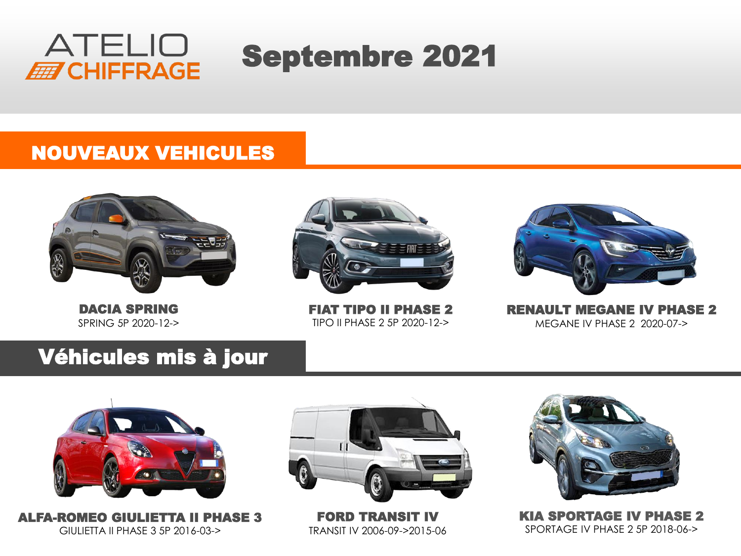

# Septembre 2021

#### NOUVEAUX VEHICULES



DACIA SPRING SPRING 5P 2020-12->



FIAT TIPO II PHASE 2 TIPO II PHASE 2 5P 2020-12->



RENAULT MEGANE IV PHASE 2 MEGANE IV PHASE 2 2020-07->

### Véhicules mis à jour



ALFA-ROMEO GIULIETTA II PHASE 3 GIULIETTA II PHASE 3 5P 2016-03->



FORD TRANSIT IV TRANSIT IV 2006-09->2015-06



KIA SPORTAGE IV PHASE 2 SPORTAGE IV PHASE 2 5P 2018-06->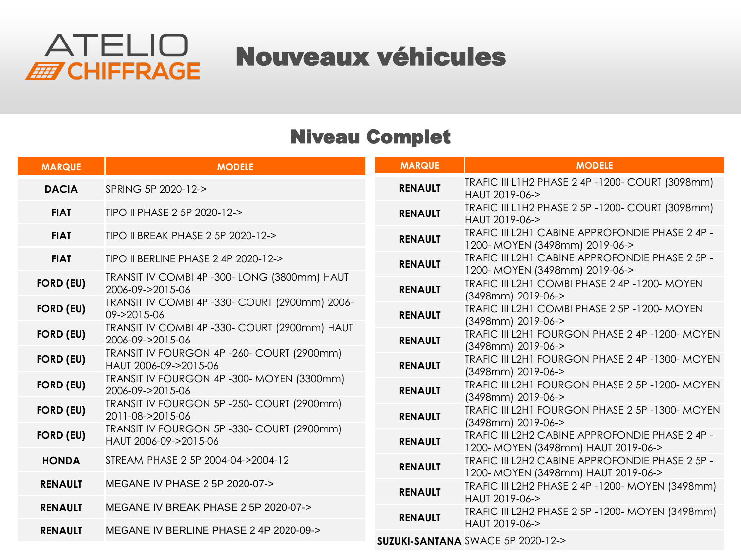

Nouveaux véhicules

#### Niveau Complet

| <b>MARQUE</b>    | <b>MODELE</b>                                                       | <b>MARQUE</b>  | <b>MODELE</b>                                                                          |
|------------------|---------------------------------------------------------------------|----------------|----------------------------------------------------------------------------------------|
| <b>DACIA</b>     | SPRING 5P 2020-12->                                                 | <b>RENAULT</b> | TRAFIC III L1H2 PHASE 2 4P -1200- COURT (3098mm)<br>HAUT 2019-06->                     |
| <b>FIAT</b>      | TIPO II PHASE 2 5P 2020-12->                                        | <b>RENAULT</b> | TRAFIC III L1H2 PHASE 2 5P -1200- COURT (3098mm)<br>HAUT 2019-06->                     |
| <b>FIAT</b>      | TIPO II BREAK PHASE 2 5P 2020-12->                                  | <b>RENAULT</b> | TRAFIC III L2H1 CABINE APPROFONDIE PHASE 2 4P -<br>1200-MOYEN (3498mm) 2019-06->       |
| <b>FIAT</b>      | TIPO II BERLINE PHASE 2 4P 2020-12->                                | <b>RENAULT</b> | TRAFIC III L2H1 CABINE APPROFONDIE PHASE 2 5P -<br>1200-MOYEN (3498mm) 2019-06->       |
| <b>FORD (EU)</b> | TRANSIT IV COMBI 4P -300- LONG (3800mm) HAUT<br>2006-09->2015-06    | <b>RENAULT</b> | TRAFIC III L2H1 COMBI PHASE 2 4P -1200- MOYEN<br>(3498mm) 2019-06->                    |
| <b>FORD (EU)</b> | TRANSIT IV COMBI 4P -330- COURT (2900mm) 2006-<br>09->2015-06       | <b>RENAULT</b> | TRAFIC III L2H1 COMBI PHASE 2 5P -1200- MOYEN<br>(3498mm) 2019-06->                    |
| <b>FORD (EU)</b> | TRANSIT IV COMBI 4P -330- COURT (2900mm) HAUT<br>2006-09->2015-06   | <b>RENAULT</b> | TRAFIC III L2H1 FOURGON PHASE 2 4P -1200- MOYEN<br>(3498mm) 2019-06->                  |
| <b>FORD (EU)</b> | TRANSIT IV FOURGON 4P-260- COURT (2900mm)<br>HAUT 2006-09->2015-06  | <b>RENAULT</b> | TRAFIC III L2H1 FOURGON PHASE 2 4P -1300- MOYEN<br>(3498mm) 2019-06->                  |
| <b>FORD (EU)</b> | TRANSIT IV FOURGON 4P -300- MOYEN (3300mm)<br>2006-09->2015-06      | <b>RENAULT</b> | TRAFIC III L2H1 FOURGON PHASE 2 5P -1200- MOYEN<br>(3498mm) 2019-06->                  |
| <b>FORD (EU)</b> | TRANSIT IV FOURGON 5P -250- COURT (2900mm)<br>2011-08->2015-06      | <b>RENAULT</b> | TRAFIC III L2H1 FOURGON PHASE 2 5P -1300- MOYEN<br>(3498mm) 2019-06->                  |
| <b>FORD (EU)</b> | TRANSIT IV FOURGON 5P -330- COURT (2900mm)<br>HAUT 2006-09->2015-06 | <b>RENAULT</b> | TRAFIC III L2H2 CABINE APPROFONDIE PHASE 2 4P -<br>1200- MOYEN (3498mm) HAUT 2019-06-> |
| <b>HONDA</b>     | STREAM PHASE 2 5P 2004-04->2004-12                                  | <b>RENAULT</b> | TRAFIC III L2H2 CABINE APPROFONDIE PHASE 2 5P -<br>1200- MOYEN (3498mm) HAUT 2019-06-> |
| <b>RENAULT</b>   | MEGANE IV PHASE 2 5P 2020-07->                                      | <b>RENAULT</b> | TRAFIC III L2H2 PHASE 2 4P -1200- MOYEN (3498mm)<br>HAUT 2019-06->                     |
| <b>RENAULT</b>   | MEGANE IV BREAK PHASE 2 5P 2020-07->                                | <b>RENAULT</b> | TRAFIC III L2H2 PHASE 2 5P -1200- MOYEN (3498mm)<br>HAUT 2019-06->                     |
| <b>RENAULT</b>   | MEGANE IV BERLINE PHASE 2 4P 2020-09->                              |                | SUZUKI-SANTANA SWACE 5P 2020-12->                                                      |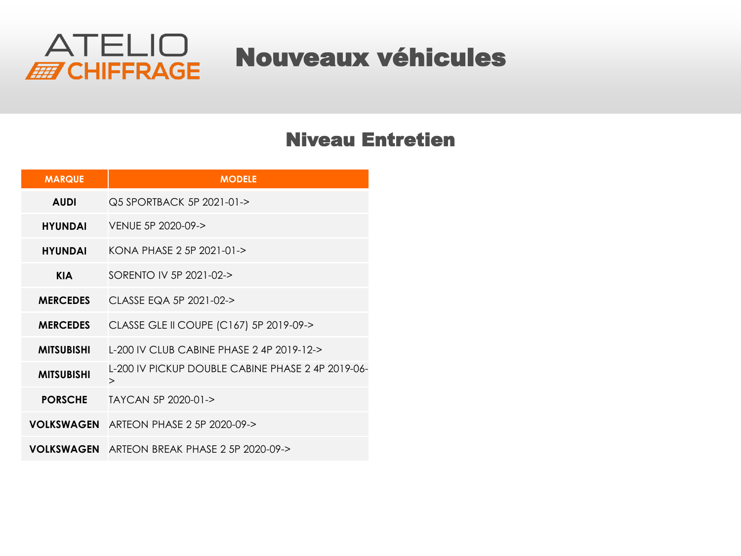

## Nouveaux véhicules

#### Niveau Entretien

| <b>MARQUE</b>     | <b>MODELE</b>                                               |
|-------------------|-------------------------------------------------------------|
| <b>AUDI</b>       | Q5 SPORTBACK 5P 2021-01->                                   |
| <b>HYUNDAI</b>    | VENUE 5P 2020-09->                                          |
| <b>HYUNDAI</b>    | KONA PHASE 2 5P 2021-01->                                   |
| <b>KIA</b>        | SORENTO IV 5P 2021-02->                                     |
| <b>MERCEDES</b>   | CLASSE EQA 5P 2021-02->                                     |
| <b>MERCEDES</b>   | CLASSE GLE II COUPE (C167) 5P 2019-09->                     |
| <b>MITSUBISHI</b> | L-200 IV CLUB CABINE PHASE 2 4P 2019-12->                   |
| <b>MITSUBISHI</b> | L-200 IV PICKUP DOUBLE CABINE PHASE 2 4P 2019-06-<br>$\geq$ |
| <b>PORSCHE</b>    | TAYCAN 5P 2020-01->                                         |
| <b>VOLKSWAGEN</b> | ARTEON PHASE 2 5P 2020-09->                                 |
| <b>VOLKSWAGEN</b> | ARTEON BREAK PHASE 2 5P 2020-09->                           |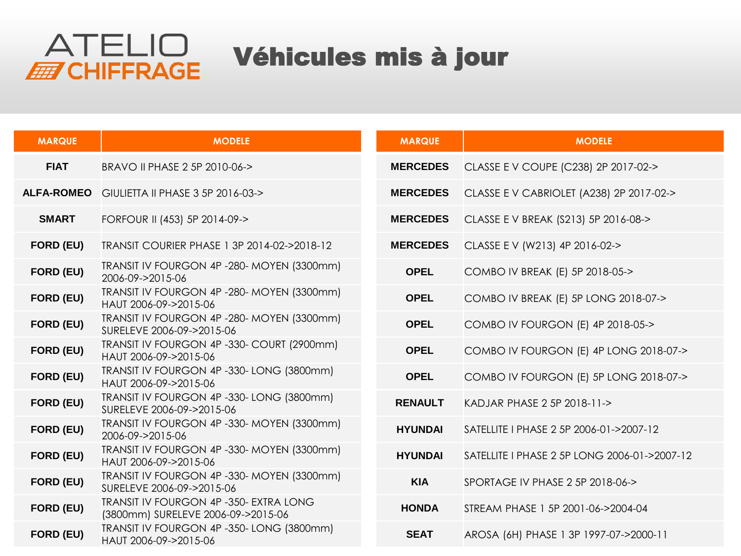

## Véhicules mis à jour

| <b>MARQUE</b>     | <b>MODELE</b>                                                                | <b>MARQUE</b>   | <b>MODELE</b>                                |
|-------------------|------------------------------------------------------------------------------|-----------------|----------------------------------------------|
| <b>FIAT</b>       | BRAVO II PHASE 2 5P 2010-06->                                                | <b>MERCEDES</b> | CLASSE E V COUPE (C238) 2P 2017-02->         |
| <b>ALFA-ROMEO</b> | GIULIETTA II PHASE 3 5P 2016-03->                                            | <b>MERCEDES</b> | CLASSE E V CABRIOLET (A238) 2P 2017-02->     |
| <b>SMART</b>      | FORFOUR II (453) 5P 2014-09->                                                | <b>MERCEDES</b> | CLASSE E V BREAK (S213) 5P 2016-08->         |
| FORD (EU)         | TRANSIT COURIER PHASE 1 3P 2014-02->2018-12                                  | <b>MERCEDES</b> | CLASSE E V (W213) 4P 2016-02->               |
| FORD (EU)         | TRANSIT IV FOURGON 4P -280- MOYEN (3300mm)<br>2006-09->2015-06               | <b>OPEL</b>     | COMBO IV BREAK (E) 5P 2018-05->              |
| FORD (EU)         | TRANSIT IV FOURGON 4P -280- MOYEN (3300mm)<br>HAUT 2006-09->2015-06          | <b>OPEL</b>     | COMBO IV BREAK (E) 5P LONG 2018-07->         |
| FORD (EU)         | TRANSIT IV FOURGON 4P -280- MOYEN (3300mm)<br>SURELEVE 2006-09->2015-06      | <b>OPEL</b>     | COMBO IV FOURGON (E) 4P 2018-05->            |
| FORD (EU)         | TRANSIT IV FOURGON 4P -330- COURT (2900mm)<br>HAUT 2006-09->2015-06          | <b>OPEL</b>     | COMBO IV FOURGON (E) 4P LONG 2018-07->       |
| FORD (EU)         | TRANSIT IV FOURGON 4P -330- LONG (3800mm)<br>HAUT 2006-09->2015-06           | <b>OPEL</b>     | COMBO IV FOURGON (E) 5P LONG 2018-07->       |
| FORD (EU)         | TRANSIT IV FOURGON 4P -330- LONG (3800mm)<br>SURELEVE 2006-09->2015-06       | <b>RENAULT</b>  | KADJAR PHASE 2 5P 2018-11->                  |
| FORD (EU)         | TRANSIT IV FOURGON 4P -330- MOYEN (3300mm)<br>2006-09->2015-06               | <b>HYUNDAI</b>  | SATELLITE   PHASE 2 5P 2006-01->2007-12      |
| FORD (EU)         | TRANSIT IV FOURGON 4P -330- MOYEN (3300mm)<br>HAUT 2006-09->2015-06          | <b>HYUNDAI</b>  | SATELLITE I PHASE 2 5P LONG 2006-01->2007-12 |
| FORD (EU)         | TRANSIT IV FOURGON 4P -330- MOYEN (3300mm)<br>SURELEVE 2006-09->2015-06      | <b>KIA</b>      | SPORTAGE IV PHASE 2 5P 2018-06->             |
| FORD (EU)         | TRANSIT IV FOURGON 4P -350- EXTRA LONG<br>(3800mm) SURELEVE 2006-09->2015-06 | <b>HONDA</b>    | STREAM PHASE 1 5P 2001-06->2004-04           |
| FORD (EU)         | TRANSIT IV FOURGON 4P -350- LONG (3800mm)<br>HAUT 2006-09->2015-06           | <b>SEAT</b>     | AROSA (6H) PHASE 1 3P 1997-07->2000-11       |